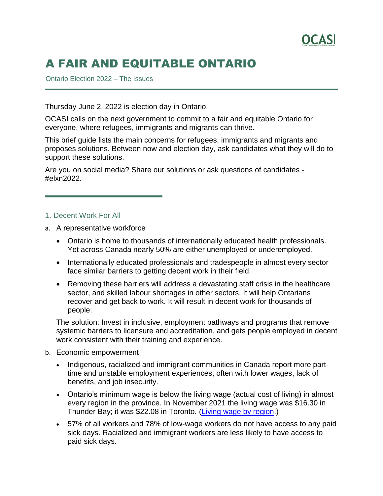

# A FAIR AND EQUITABLE ONTARIO

Ontario Election 2022 – The Issues

Thursday June 2, 2022 is election day in Ontario.

OCASI calls on the next government to commit to a fair and equitable Ontario for everyone, where refugees, immigrants and migrants can thrive.

This brief guide lists the main concerns for refugees, immigrants and migrants and proposes solutions. Between now and election day, ask candidates what they will do to support these solutions.

Are you on social media? Share our solutions or ask questions of candidates - #elxn2022.

#### 1. Decent Work For All

- a. A representative workforce
	- Ontario is home to thousands of internationally educated health professionals. Yet across Canada nearly 50% are either unemployed or underemployed.
	- Internationally educated professionals and tradespeople in almost every sector face similar barriers to getting decent work in their field.
	- Removing these barriers will address a devastating staff crisis in the healthcare sector, and skilled labour shortages in other sectors. It will help Ontarians recover and get back to work. It will result in decent work for thousands of people.

The solution: Invest in inclusive, employment pathways and programs that remove systemic barriers to licensure and accreditation, and gets people employed in decent work consistent with their training and experience.

- b. Economic empowerment
	- Indigenous, racialized and immigrant communities in Canada report more parttime and unstable employment experiences, often with lower wages, lack of benefits, and job insecurity.
	- Ontario's minimum wage is below the living wage (actual cost of living) in almost every region in the province. In November 2021 the living wage was \$16.30 in Thunder Bay; it was \$22.08 in Toronto. [\(Living wage by region.](https://www.ontariolivingwage.ca/living_wage_by_region))
	- 57% of all workers and 78% of low-wage workers do not have access to any paid sick days. Racialized and immigrant workers are less likely to have access to paid sick days.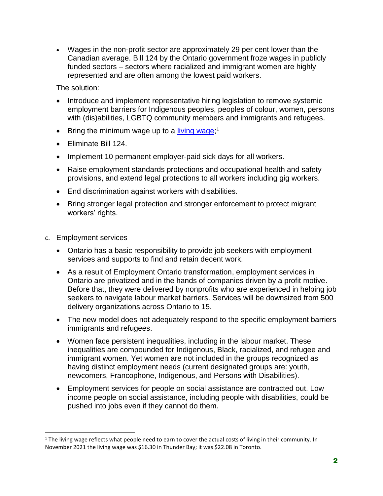Wages in the non-profit sector are approximately 29 per cent lower than the Canadian average. Bill 124 by the Ontario government froze wages in publicly funded sectors – sectors where racialized and immigrant women are highly represented and are often among the lowest paid workers.

The solution:

- Introduce and implement representative hiring legislation to remove systemic employment barriers for Indigenous peoples, peoples of colour, women, persons with (dis)abilities, LGBTQ community members and immigrants and refugees.
- Bring the minimum wage up to a [living wage;](https://www.ontariolivingwage.ca/living_wage_by_region)<sup>1</sup>
- Eliminate Bill 124.
- Implement 10 permanent employer-paid sick days for all workers.
- Raise employment standards protections and occupational health and safety provisions, and extend legal protections to all workers including gig workers.
- End discrimination against workers with disabilities.
- Bring stronger legal protection and stronger enforcement to protect migrant workers' rights.
- c. Employment services

l

- Ontario has a basic responsibility to provide job seekers with employment services and supports to find and retain decent work.
- As a result of Employment Ontario transformation, employment services in Ontario are privatized and in the hands of companies driven by a profit motive. Before that, they were delivered by nonprofits who are experienced in helping job seekers to navigate labour market barriers. Services will be downsized from 500 delivery organizations across Ontario to 15.
- The new model does not adequately respond to the specific employment barriers immigrants and refugees.
- Women face persistent inequalities, including in the labour market. These inequalities are compounded for Indigenous, Black, racialized, and refugee and immigrant women. Yet women are not included in the groups recognized as having distinct employment needs (current designated groups are: youth, newcomers, Francophone, Indigenous, and Persons with Disabilities).
- Employment services for people on social assistance are contracted out. Low income people on social assistance, including people with disabilities, could be pushed into jobs even if they cannot do them.

 $1$  The living wage reflects what people need to earn to cover the actual costs of living in their community. In November 2021 the living wage was \$16.30 in Thunder Bay; it was \$22.08 in Toronto.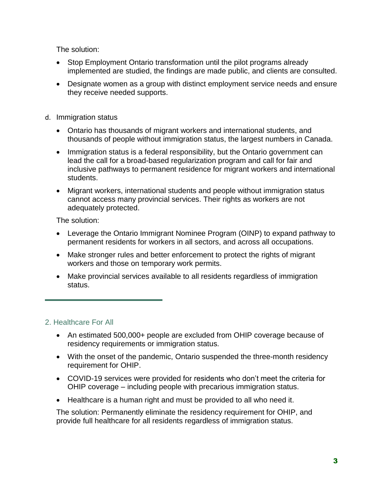The solution:

- Stop Employment Ontario transformation until the pilot programs already implemented are studied, the findings are made public, and clients are consulted.
- Designate women as a group with distinct employment service needs and ensure they receive needed supports.
- d. Immigration status
	- Ontario has thousands of migrant workers and international students, and thousands of people without immigration status, the largest numbers in Canada.
	- Immigration status is a federal responsibility, but the Ontario government can lead the call for a broad-based regularization program and call for fair and inclusive pathways to permanent residence for migrant workers and international students.
	- Migrant workers, international students and people without immigration status cannot access many provincial services. Their rights as workers are not adequately protected.

The solution:

- Leverage the Ontario Immigrant Nominee Program (OINP) to expand pathway to permanent residents for workers in all sectors, and across all occupations.
- Make stronger rules and better enforcement to protect the rights of migrant workers and those on temporary work permits.
- Make provincial services available to all residents regardless of immigration status.

# 2. Healthcare For All

- An estimated 500,000+ people are excluded from OHIP coverage because of residency requirements or immigration status.
- With the onset of the pandemic, Ontario suspended the three-month residency requirement for OHIP.
- COVID-19 services were provided for residents who don't meet the criteria for OHIP coverage – including people with precarious immigration status.
- Healthcare is a human right and must be provided to all who need it.

The solution: Permanently eliminate the residency requirement for OHIP, and provide full healthcare for all residents regardless of immigration status.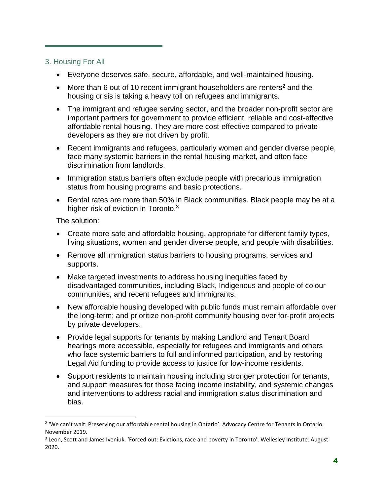## 3. Housing For All

- Everyone deserves safe, secure, affordable, and well-maintained housing.
- $\bullet$  More than 6 out of 10 recent immigrant householders are renters<sup>2</sup> and the housing crisis is taking a heavy toll on refugees and immigrants.
- The immigrant and refugee serving sector, and the broader non-profit sector are important partners for government to provide efficient, reliable and cost-effective affordable rental housing. They are more cost-effective compared to private developers as they are not driven by profit.
- Recent immigrants and refugees, particularly women and gender diverse people, face many systemic barriers in the rental housing market, and often face discrimination from landlords.
- Immigration status barriers often exclude people with precarious immigration status from housing programs and basic protections.
- Rental rates are more than 50% in Black communities. Black people may be at a higher risk of eviction in Toronto.<sup>3</sup>

The solution:

 $\overline{a}$ 

- Create more safe and affordable housing, appropriate for different family types, living situations, women and gender diverse people, and people with disabilities.
- Remove all immigration status barriers to housing programs, services and supports.
- Make targeted investments to address housing inequities faced by disadvantaged communities, including Black, Indigenous and people of colour communities, and recent refugees and immigrants.
- New affordable housing developed with public funds must remain affordable over the long-term; and prioritize non-profit community housing over for-profit projects by private developers.
- Provide legal supports for tenants by making Landlord and Tenant Board hearings more accessible, especially for refugees and immigrants and others who face systemic barriers to full and informed participation, and by restoring Legal Aid funding to provide access to justice for low-income residents.
- Support residents to maintain housing including stronger protection for tenants, and support measures for those facing income instability, and systemic changes and interventions to address racial and immigration status discrimination and bias.

<sup>&</sup>lt;sup>2</sup> 'We can't wait: Preserving our affordable rental housing in Ontario'. Advocacy Centre for Tenants in Ontario. November 2019.

<sup>&</sup>lt;sup>3</sup> Leon, Scott and James Iveniuk. 'Forced out: Evictions, race and poverty in Toronto'. Wellesley Institute. August 2020.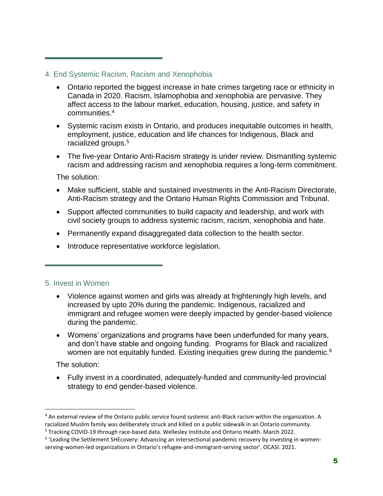4. End Systemic Racism, Racism and Xenophobia

- Ontario reported the biggest increase in hate crimes targeting race or ethnicity in Canada in 2020. Racism, Islamophobia and xenophobia are pervasive. They affect access to the labour market, education, housing, justice, and safety in communities.<sup>4</sup>
- Systemic racism exists in Ontario, and produces inequitable outcomes in health, employment, justice, education and life chances for Indigenous, Black and racialized groups.<sup>5</sup>
- The five-year Ontario Anti-Racism strategy is under review. Dismantling systemic racism and addressing racism and xenophobia requires a long-term commitment.

The solution:

- Make sufficient, stable and sustained investments in the Anti-Racism Directorate, Anti-Racism strategy and the Ontario Human Rights Commission and Tribunal.
- Support affected communities to build capacity and leadership, and work with civil society groups to address systemic racism, racism, xenophobia and hate.
- Permanently expand disaggregated data collection to the health sector.
- Introduce representative workforce legislation.

5. Invest in Women

- Violence against women and girls was already at frighteningly high levels, and increased by upto 20% during the pandemic. Indigenous, racialized and immigrant and refugee women were deeply impacted by gender-based violence during the pandemic.
- Womens' organizations and programs have been underfunded for many years, and don't have stable and ongoing funding. Programs for Black and racialized women are not equitably funded. Existing inequities grew during the pandemic.<sup>6</sup>

The solution:

l

 Fully invest in a coordinated, adequately-funded and community-led provincial strategy to end gender-based violence.

<sup>4</sup> An external review of the Ontario public service found systemic anti-Black racism within the organization. A racialized Muslim family was deliberately struck and killed on a public sidewalk in an Ontario community. <sup>5</sup> Tracking COVID-19 through race-based data. Wellesley Institute and Ontario Health. March 2022.

<sup>&</sup>lt;sup>6</sup> 'Leading the Settlement SHEcovery: Advancing an intersectional pandemic recovery by investing in womenserving-women-led organizations in Ontario's refugee-and-immigrant-serving sector'. OCASI. 2021.